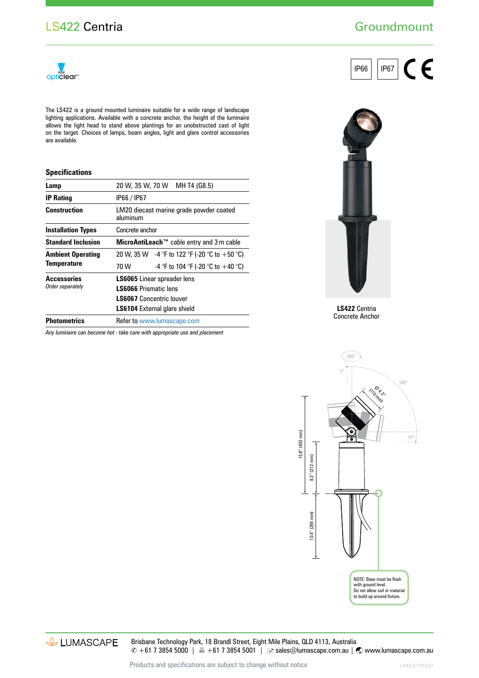## **Groundmount**



The LS422 is a ground mounted luminaire suitable for a wide range of landscape lighting applications. Available with a concrete anchor, the height of the luminaire allows the light head to stand above plantings for an unobstructed cast of light on the target. Choices of lamps, beam angles, light and glare control accessories are available.

## **Specifications**

| Lamp                                           | 20 W, 35 W, 70 W                                    | MH T4 (G8.5)                                    |
|------------------------------------------------|-----------------------------------------------------|-------------------------------------------------|
| <b>IP Rating</b>                               | IP66 / IP67                                         |                                                 |
| <b>Construction</b>                            | LM20 diecast marine grade powder coated<br>aluminum |                                                 |
| <b>Installation Types</b>                      | Concrete anchor                                     |                                                 |
| <b>Standard Inclusion</b>                      | MicroAntiLeach™ cable entry and 3 m cable           |                                                 |
| <b>Ambient Operating</b><br><b>Temperature</b> |                                                     | 20 W, 35 W $-4$ °F to 122 °F (-20 °C to +50 °C) |
|                                                | 70 W                                                | -4 °F to 104 °F (-20 °C to $+40$ °C)            |
| <b>Accessories</b><br>Order separately         | <b>LS6065</b> Linear spreader lens                  |                                                 |
|                                                | <b>LS6066 Prismatic lens</b>                        |                                                 |
|                                                | <b>LS6067</b> Concentric louver                     |                                                 |
|                                                | <b>LS6104</b> External glare shield                 |                                                 |
| <b>Photometrics</b>                            | Refer to www.lumascape.com                          |                                                 |

*Any luminaire can become hot - take care with appropriate use and placement*





**LS422** Centria Concrete Anchor



& LUMASCAPE

Brisbane Technology Park, 18 Brandl Street, Eight Mile Plains, QLD 4113, Australia  $\degree$  +61 7 3854 5000 | A +61 7 3854 5001 | ■ sales@lumascape.com.au |  $\degree$  www.lumascape.com.au